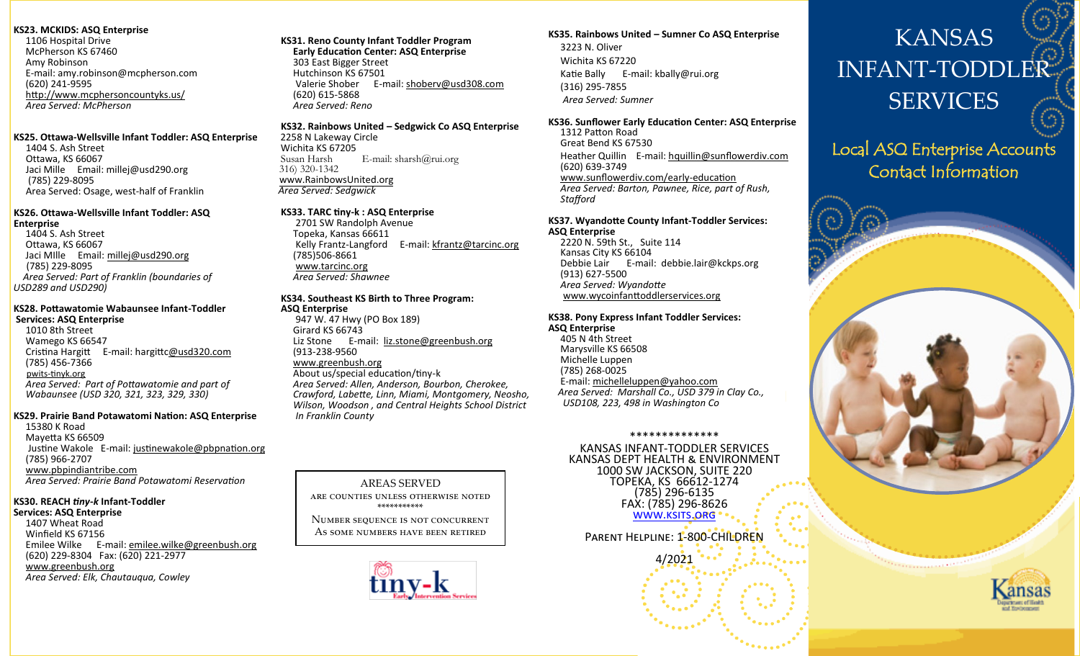#### **KS23. MCKIDS: ASQ Enterprise**

1106 Hospital Drive McPherson KS 67460 Amy Robinson E-mail: [amy.robinson@mcpherson.com](mailto:pstucky@mcphersoncountyks.us) (620) 241-9595 <http://www.mcphersoncountyks.us/> *Area Served: McPherson*

#### **KS25. Ottawa-Wellsville Infant Toddler: ASQ Enterprise**

 1404 S. Ash Street Ottawa, KS 66067 Jaci Mille Email: millej@usd290.org (785) 229-8095 Area Served: Osage, west-half of Franklin

### **KS26. Ottawa-Wellsville Infant Toddler: ASQ**

**Enterprise** 1404 S. Ash Street Ottawa, KS 66067 Jaci MIlle Email: mi[llej@usd290.org](mailto:sterlingj@usd290.org) (785) 229-8095 *Area Served: Part of Franklin (boundaries of USD289 and USD290)*

#### **KS28. Pottawatomie Wabaunsee Infant-Toddler Services: ASQ Enterprise**

 1010 8th Street Wamego KS 66547 Cristina Hargitt E-mail: hargitt[c@usd320.com](mailto:frickt@usd320.com) (785) 456-7366 pwits-[tinyk.org](pwits-tinyk.org) *Area Served: Part of Pottawatomie and part of Wabaunsee (USD 320, 321, 323, 329, 330)*

#### **KS29. Prairie Band Potawatomi Nation: ASQ Enterprise**

 15380 K Road Mayetta KS 66509 Justine Wakole E-mail: [justinewakole@pbpnation.org](mailto:justinewakole@pbpnation.org) (785) 966-2707 [www.pbpindiantribe.com](http://www.pbpindiantribe.com) *Area Served: Prairie Band Potawatomi Reservation*

#### **KS30. REACH** *tiny-k* **Infant-Toddler**

**Services: ASQ Enterprise** 1407 Wheat Road Winfield KS 67156 Emilee Wilke E-mail: [emilee.wilke@greenbush.org](mailto:monica.murnan@greenbush.org) (620) 229-8304 Fax: (620) 221-2977 [www.greenbush.org](http://www.greenbush.org) *Area Served: Elk, Chautauqua, Cowley*

#### **KS31. Reno County Infant Toddler Program**

 **Early Education Center: ASQ Enterprise** 303 East Bigger Street Hutchinson KS 67501 Valerie Shober E-mail: [shoberv@usd308.com](mailto:shoberv@usd308.com) (620) 615-5868 *Area Served: Reno*

#### **KS32. Rainbows United – Sedgwick Co ASQ Enterprise**

2258 N Lakeway Circle Wichita KS 67205<br>Susan Harsh E-mail: sharsh $@rui.org$  316) 320-1342 w[ww.RainbowsUnited.org](http://www.RainbowsUnited.org) *Area Served: Sedgwick*

#### **KS33. TARC tiny-k : ASQ Enterprise**

2701 SW Randolph Avenue Topeka, Kansas 66611 Kelly Frantz-Langford E-mail: [kfrantz@tarcinc.org](mailto:kfrantz@tarcinc.org) (785)506-8661 [www.tarcinc.org](http://www.tarcinc.org) *Area Served: Shawnee*

#### **KS34. Southeast KS Birth to Three Program: ASQ Enterprise**

947 W. 47 Hwy (PO Box 189) Girard KS 66743 Liz Stone E-mail: [liz.stone@greenbush.org](mailto:monica.murnan@greenbush.org) (913-238-9560 [www.greenbush.org](http://www.greenbush.org)

 About us/special education/tiny-k *Area Served: Allen, Anderson, Bourbon, Cherokee, Crawford, Labette, Linn, Miami, Montgomery, Neosho, Wilson, Woodson , and Central Heights School District In Franklin County* 

AREAS SERVED are counties unless otherwise noted \*\*\*\*\*\*\*\*\*\*\* Number sequence is not concurrent As some numbers have been retired

#### **KS35. Rainbows United – Sumner Co ASQ Enterprise** 3223 N. Oliver Wichita KS 67220 Katie Bally E-mail: kbally@rui.org (316) 295-7855

*Area Served: Sumner*

#### **KS36. Sunflower Early Education Center: ASQ Enterprise** 1312 Patton Road

 Great Bend KS 67530 Heather Quillin E-mail: [hquillin@sunflowerdiv.com](mailto:hquillin@sunflowerdiv.com) (620) 639-3749 [www.sunflowerdiv.com/early](http://www.sunflowerdiv.com/EarlyEducation.htm)-education *Area Served: Barton, Pawnee, Rice, part of Rush, Stafford*

#### **KS37. Wyandotte County Infant-Toddler Services: ASQ Enterprise**

 2220 N. 59th St., Suite 114 Kansas City KS 66104 Debbie Lair E-mail: debbie.lair@kckps.org (913) 627-5500 *Area Served: Wyandotte* www.wycoinfanttoddlerservices.org

#### **KS38. Pony Express Infant Toddler Services: ASQ Enterprise**

405 N 4th Street Marysville KS 66508 Michelle Luppen (785) 268-0025 E-mail: [michelleluppen@yahoo.com](mailto:michelleluppen@yahoo.com) *Area Served: Marshall Co., USD 379 in Clay Co., USD108, 223, 498 in Washington Co*

#### \*\*\*\*\*\*\*\*\*\*\*\*\*\*

KANSAS INFANT-TODDLER SERVICES KANSAS DEPT HEALTH & ENVIRONMENT 1000 SW JACKSON, SUITE 220 TOPEKA, KS 66612-1274 (785) 296-6135 FAX: (785) 296-8626 [www.ksits.org](http://www.ksits.org)

Parent Helpline: 1-800-CHILDREN

4/2021

# KANSAS INFANT-TODDLEI SERVICES

## Local ASQ Enterprise Accounts Contact Information